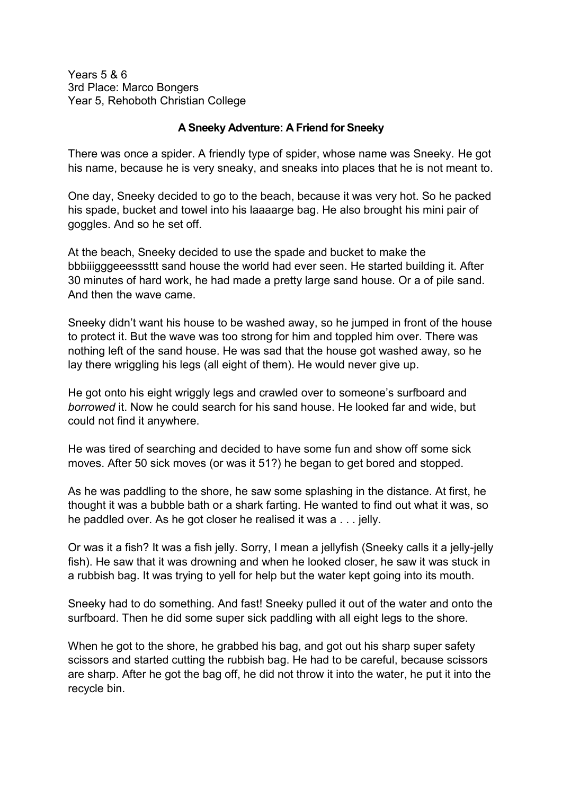Years 5 & 6 3rd Place: Marco Bongers Year 5, Rehoboth Christian College

## **A Sneeky Adventure: A Friend for Sneeky**

There was once a spider. A friendly type of spider, whose name was Sneeky. He got his name, because he is very sneaky, and sneaks into places that he is not meant to.

One day, Sneeky decided to go to the beach, because it was very hot. So he packed his spade, bucket and towel into his laaaarge bag. He also brought his mini pair of goggles. And so he set off.

At the beach, Sneeky decided to use the spade and bucket to make the bbbiiigggeeesssttt sand house the world had ever seen. He started building it. After 30 minutes of hard work, he had made a pretty large sand house. Or a of pile sand. And then the wave came.

Sneeky didn't want his house to be washed away, so he jumped in front of the house to protect it. But the wave was too strong for him and toppled him over. There was nothing left of the sand house. He was sad that the house got washed away, so he lay there wriggling his legs (all eight of them). He would never give up.

He got onto his eight wriggly legs and crawled over to someone's surfboard and *borrowed* it. Now he could search for his sand house. He looked far and wide, but could not find it anywhere.

He was tired of searching and decided to have some fun and show off some sick moves. After 50 sick moves (or was it 51?) he began to get bored and stopped.

As he was paddling to the shore, he saw some splashing in the distance. At first, he thought it was a bubble bath or a shark farting. He wanted to find out what it was, so he paddled over. As he got closer he realised it was a . . . jelly.

Or was it a fish? It was a fish jelly. Sorry, I mean a jellyfish (Sneeky calls it a jelly-jelly fish). He saw that it was drowning and when he looked closer, he saw it was stuck in a rubbish bag. It was trying to yell for help but the water kept going into its mouth.

Sneeky had to do something. And fast! Sneeky pulled it out of the water and onto the surfboard. Then he did some super sick paddling with all eight legs to the shore.

When he got to the shore, he grabbed his bag, and got out his sharp super safety scissors and started cutting the rubbish bag. He had to be careful, because scissors are sharp. After he got the bag off, he did not throw it into the water, he put it into the recycle bin.